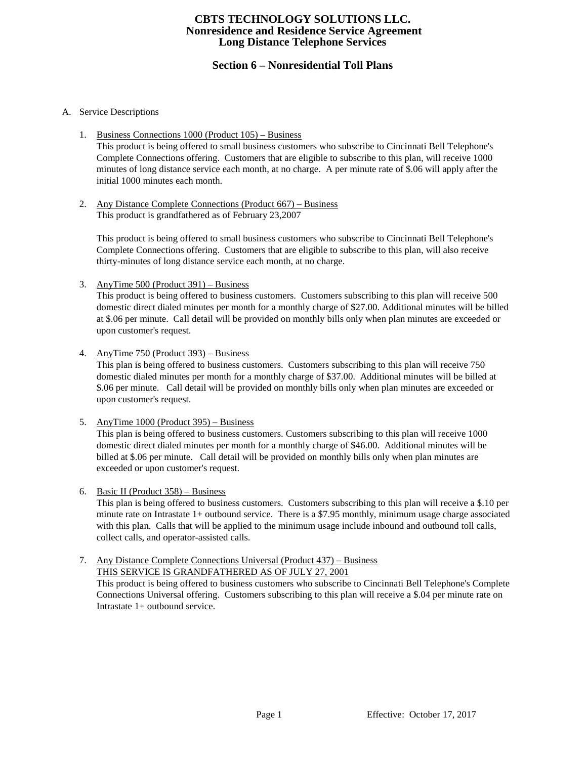# **Section 6 – Nonresidential Toll Plans**

## A. Service Descriptions

1. Business Connections 1000 (Product 105) – Business

This product is being offered to small business customers who subscribe to Cincinnati Bell Telephone's Complete Connections offering. Customers that are eligible to subscribe to this plan, will receive 1000 minutes of long distance service each month, at no charge. A per minute rate of \$.06 will apply after the initial 1000 minutes each month.

2. Any Distance Complete Connections (Product 667) – Business This product is grandfathered as of February 23,2007

This product is being offered to small business customers who subscribe to Cincinnati Bell Telephone's Complete Connections offering. Customers that are eligible to subscribe to this plan, will also receive thirty-minutes of long distance service each month, at no charge.

3. AnyTime 500 (Product 391) – Business

This product is being offered to business customers. Customers subscribing to this plan will receive 500 domestic direct dialed minutes per month for a monthly charge of \$27.00. Additional minutes will be billed at \$.06 per minute. Call detail will be provided on monthly bills only when plan minutes are exceeded or upon customer's request.

4. AnyTime 750 (Product 393) – Business

This plan is being offered to business customers. Customers subscribing to this plan will receive 750 domestic dialed minutes per month for a monthly charge of \$37.00. Additional minutes will be billed at \$.06 per minute. Call detail will be provided on monthly bills only when plan minutes are exceeded or upon customer's request.

5. AnyTime 1000 (Product 395) – Business

This plan is being offered to business customers. Customers subscribing to this plan will receive 1000 domestic direct dialed minutes per month for a monthly charge of \$46.00. Additional minutes will be billed at \$.06 per minute. Call detail will be provided on monthly bills only when plan minutes are exceeded or upon customer's request.

6. Basic II (Product 358) – Business

This plan is being offered to business customers. Customers subscribing to this plan will receive a \$.10 per minute rate on Intrastate 1+ outbound service. There is a \$7.95 monthly, minimum usage charge associated with this plan. Calls that will be applied to the minimum usage include inbound and outbound toll calls, collect calls, and operator-assisted calls.

7. Any Distance Complete Connections Universal (Product 437) – Business THIS SERVICE IS GRANDFATHERED AS OF JULY 27, 2001

This product is being offered to business customers who subscribe to Cincinnati Bell Telephone's Complete Connections Universal offering. Customers subscribing to this plan will receive a \$.04 per minute rate on Intrastate 1+ outbound service.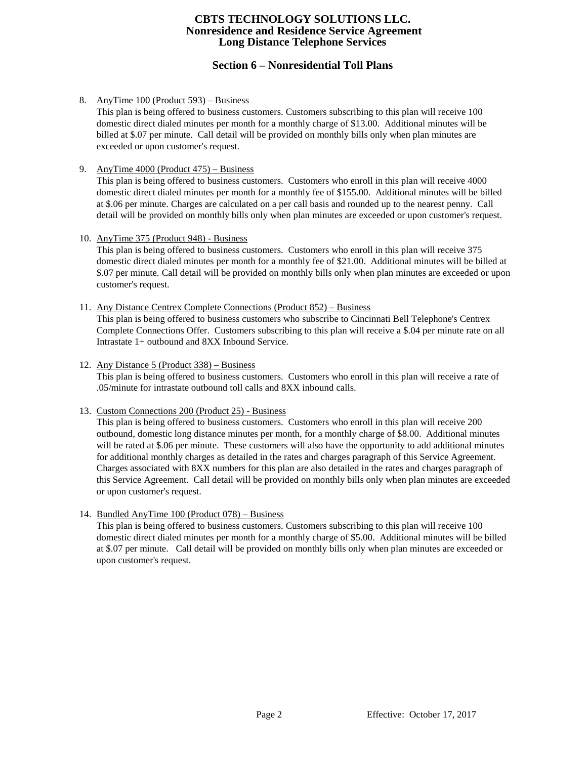# **Section 6 – Nonresidential Toll Plans**

## 8. AnyTime 100 (Product 593) – Business

This plan is being offered to business customers. Customers subscribing to this plan will receive 100 domestic direct dialed minutes per month for a monthly charge of \$13.00. Additional minutes will be billed at \$.07 per minute. Call detail will be provided on monthly bills only when plan minutes are exceeded or upon customer's request.

9. AnyTime 4000 (Product 475) – Business

This plan is being offered to business customers. Customers who enroll in this plan will receive 4000 domestic direct dialed minutes per month for a monthly fee of \$155.00. Additional minutes will be billed at \$.06 per minute. Charges are calculated on a per call basis and rounded up to the nearest penny. Call detail will be provided on monthly bills only when plan minutes are exceeded or upon customer's request.

10. AnyTime 375 (Product 948) - Business

This plan is being offered to business customers. Customers who enroll in this plan will receive 375 domestic direct dialed minutes per month for a monthly fee of \$21.00. Additional minutes will be billed at \$.07 per minute. Call detail will be provided on monthly bills only when plan minutes are exceeded or upon customer's request.

11. Any Distance Centrex Complete Connections (Product 852) – Business

This plan is being offered to business customers who subscribe to Cincinnati Bell Telephone's Centrex Complete Connections Offer. Customers subscribing to this plan will receive a \$.04 per minute rate on all Intrastate 1+ outbound and 8XX Inbound Service.

## 12. Any Distance 5 (Product 338) – Business

This plan is being offered to business customers. Customers who enroll in this plan will receive a rate of .05/minute for intrastate outbound toll calls and 8XX inbound calls.

## 13. Custom Connections 200 (Product 25) - Business

This plan is being offered to business customers. Customers who enroll in this plan will receive 200 outbound, domestic long distance minutes per month, for a monthly charge of \$8.00. Additional minutes will be rated at \$.06 per minute. These customers will also have the opportunity to add additional minutes for additional monthly charges as detailed in the rates and charges paragraph of this Service Agreement. Charges associated with 8XX numbers for this plan are also detailed in the rates and charges paragraph of this Service Agreement. Call detail will be provided on monthly bills only when plan minutes are exceeded or upon customer's request.

## 14. Bundled AnyTime 100 (Product 078) – Business

This plan is being offered to business customers. Customers subscribing to this plan will receive 100 domestic direct dialed minutes per month for a monthly charge of \$5.00. Additional minutes will be billed at \$.07 per minute. Call detail will be provided on monthly bills only when plan minutes are exceeded or upon customer's request.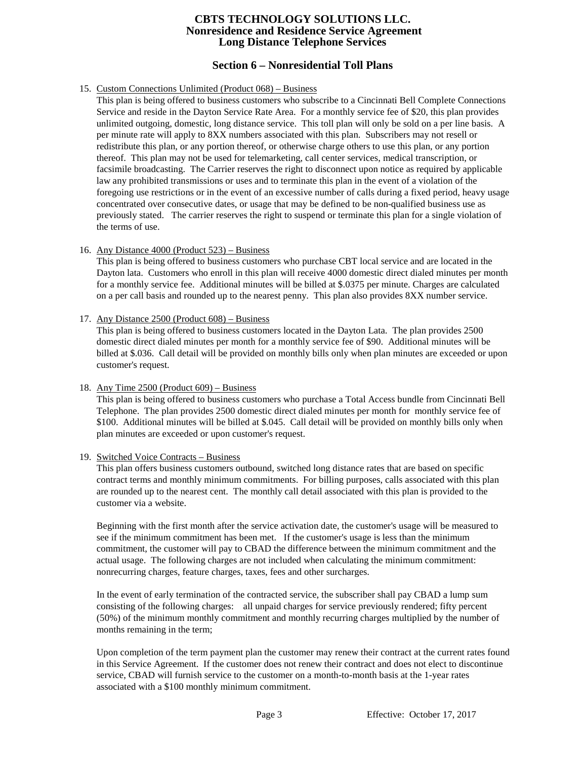# **Section 6 – Nonresidential Toll Plans**

## 15. Custom Connections Unlimited (Product 068) – Business

This plan is being offered to business customers who subscribe to a Cincinnati Bell Complete Connections Service and reside in the Dayton Service Rate Area. For a monthly service fee of \$20, this plan provides unlimited outgoing, domestic, long distance service. This toll plan will only be sold on a per line basis. A per minute rate will apply to 8XX numbers associated with this plan. Subscribers may not resell or redistribute this plan, or any portion thereof, or otherwise charge others to use this plan, or any portion thereof. This plan may not be used for telemarketing, call center services, medical transcription, or facsimile broadcasting. The Carrier reserves the right to disconnect upon notice as required by applicable law any prohibited transmissions or uses and to terminate this plan in the event of a violation of the foregoing use restrictions or in the event of an excessive number of calls during a fixed period, heavy usage concentrated over consecutive dates, or usage that may be defined to be non-qualified business use as previously stated. The carrier reserves the right to suspend or terminate this plan for a single violation of the terms of use.

## 16. Any Distance 4000 (Product 523) – Business

This plan is being offered to business customers who purchase CBT local service and are located in the Dayton lata. Customers who enroll in this plan will receive 4000 domestic direct dialed minutes per month for a monthly service fee. Additional minutes will be billed at \$.0375 per minute. Charges are calculated on a per call basis and rounded up to the nearest penny. This plan also provides 8XX number service.

## 17. Any Distance 2500 (Product 608) – Business

This plan is being offered to business customers located in the Dayton Lata. The plan provides 2500 domestic direct dialed minutes per month for a monthly service fee of \$90. Additional minutes will be billed at \$.036. Call detail will be provided on monthly bills only when plan minutes are exceeded or upon customer's request.

## 18. Any Time 2500 (Product 609) – Business

This plan is being offered to business customers who purchase a Total Access bundle from Cincinnati Bell Telephone. The plan provides 2500 domestic direct dialed minutes per month for monthly service fee of \$100. Additional minutes will be billed at \$.045. Call detail will be provided on monthly bills only when plan minutes are exceeded or upon customer's request.

## 19. Switched Voice Contracts – Business

This plan offers business customers outbound, switched long distance rates that are based on specific contract terms and monthly minimum commitments. For billing purposes, calls associated with this plan are rounded up to the nearest cent. The monthly call detail associated with this plan is provided to the customer via a website.

Beginning with the first month after the service activation date, the customer's usage will be measured to see if the minimum commitment has been met. If the customer's usage is less than the minimum commitment, the customer will pay to CBAD the difference between the minimum commitment and the actual usage. The following charges are not included when calculating the minimum commitment: nonrecurring charges, feature charges, taxes, fees and other surcharges.

In the event of early termination of the contracted service, the subscriber shall pay CBAD a lump sum consisting of the following charges: all unpaid charges for service previously rendered; fifty percent (50%) of the minimum monthly commitment and monthly recurring charges multiplied by the number of months remaining in the term;

Upon completion of the term payment plan the customer may renew their contract at the current rates found in this Service Agreement. If the customer does not renew their contract and does not elect to discontinue service, CBAD will furnish service to the customer on a month-to-month basis at the 1-year rates associated with a \$100 monthly minimum commitment.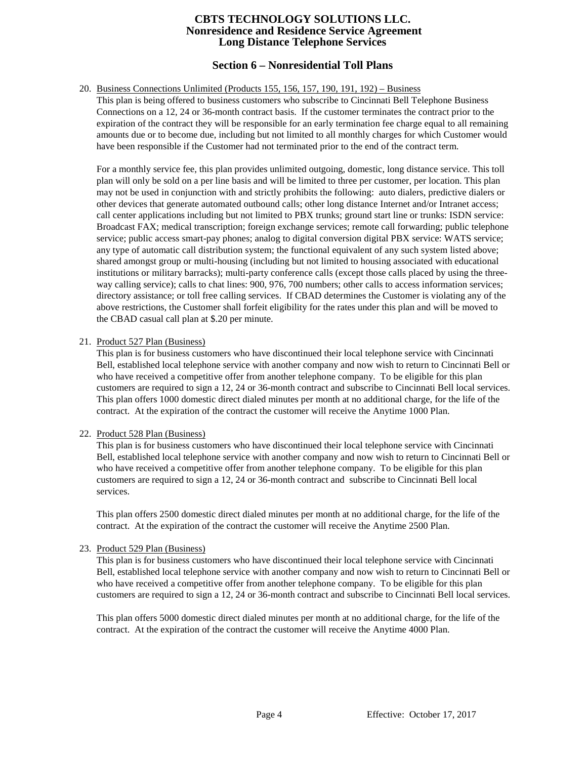# **Section 6 – Nonresidential Toll Plans**

### 20. Business Connections Unlimited (Products 155, 156, 157, 190, 191, 192) – Business

This plan is being offered to business customers who subscribe to Cincinnati Bell Telephone Business Connections on a 12, 24 or 36-month contract basis. If the customer terminates the contract prior to the expiration of the contract they will be responsible for an early termination fee charge equal to all remaining amounts due or to become due, including but not limited to all monthly charges for which Customer would have been responsible if the Customer had not terminated prior to the end of the contract term.

For a monthly service fee, this plan provides unlimited outgoing, domestic, long distance service. This toll plan will only be sold on a per line basis and will be limited to three per customer, per location. This plan may not be used in conjunction with and strictly prohibits the following: auto dialers, predictive dialers or other devices that generate automated outbound calls; other long distance Internet and/or Intranet access; call center applications including but not limited to PBX trunks; ground start line or trunks: ISDN service: Broadcast FAX; medical transcription; foreign exchange services; remote call forwarding; public telephone service; public access smart-pay phones; analog to digital conversion digital PBX service: WATS service; any type of automatic call distribution system; the functional equivalent of any such system listed above; shared amongst group or multi-housing (including but not limited to housing associated with educational institutions or military barracks); multi-party conference calls (except those calls placed by using the threeway calling service); calls to chat lines: 900, 976, 700 numbers; other calls to access information services; directory assistance; or toll free calling services. If CBAD determines the Customer is violating any of the above restrictions, the Customer shall forfeit eligibility for the rates under this plan and will be moved to the CBAD casual call plan at \$.20 per minute.

#### 21. Product 527 Plan (Business)

This plan is for business customers who have discontinued their local telephone service with Cincinnati Bell, established local telephone service with another company and now wish to return to Cincinnati Bell or who have received a competitive offer from another telephone company. To be eligible for this plan customers are required to sign a 12, 24 or 36-month contract and subscribe to Cincinnati Bell local services. This plan offers 1000 domestic direct dialed minutes per month at no additional charge, for the life of the contract. At the expiration of the contract the customer will receive the Anytime 1000 Plan.

## 22. Product 528 Plan (Business)

This plan is for business customers who have discontinued their local telephone service with Cincinnati Bell, established local telephone service with another company and now wish to return to Cincinnati Bell or who have received a competitive offer from another telephone company. To be eligible for this plan customers are required to sign a 12, 24 or 36-month contract and subscribe to Cincinnati Bell local services.

This plan offers 2500 domestic direct dialed minutes per month at no additional charge, for the life of the contract. At the expiration of the contract the customer will receive the Anytime 2500 Plan.

#### 23. Product 529 Plan (Business)

This plan is for business customers who have discontinued their local telephone service with Cincinnati Bell, established local telephone service with another company and now wish to return to Cincinnati Bell or who have received a competitive offer from another telephone company. To be eligible for this plan customers are required to sign a 12, 24 or 36-month contract and subscribe to Cincinnati Bell local services.

This plan offers 5000 domestic direct dialed minutes per month at no additional charge, for the life of the contract. At the expiration of the contract the customer will receive the Anytime 4000 Plan.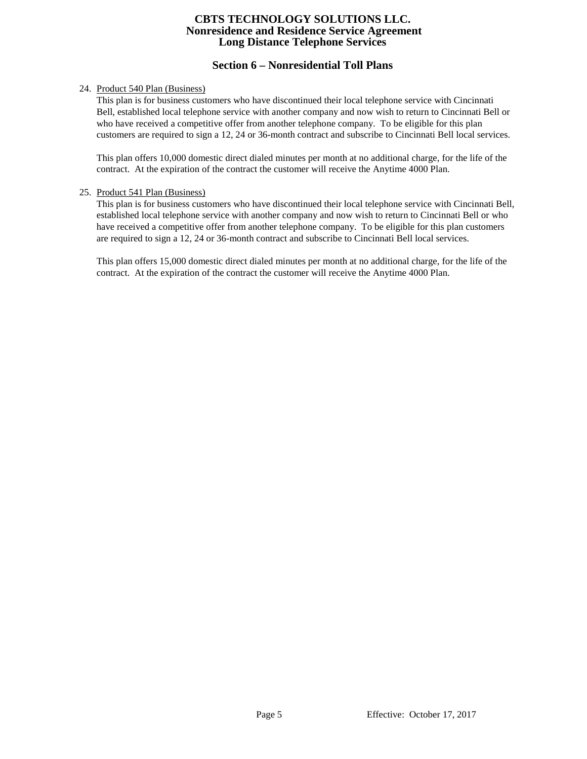# **Section 6 – Nonresidential Toll Plans**

## 24. Product 540 Plan (Business)

This plan is for business customers who have discontinued their local telephone service with Cincinnati Bell, established local telephone service with another company and now wish to return to Cincinnati Bell or who have received a competitive offer from another telephone company. To be eligible for this plan customers are required to sign a 12, 24 or 36-month contract and subscribe to Cincinnati Bell local services.

This plan offers 10,000 domestic direct dialed minutes per month at no additional charge, for the life of the contract. At the expiration of the contract the customer will receive the Anytime 4000 Plan.

## 25. Product 541 Plan (Business)

This plan is for business customers who have discontinued their local telephone service with Cincinnati Bell, established local telephone service with another company and now wish to return to Cincinnati Bell or who have received a competitive offer from another telephone company. To be eligible for this plan customers are required to sign a 12, 24 or 36-month contract and subscribe to Cincinnati Bell local services.

This plan offers 15,000 domestic direct dialed minutes per month at no additional charge, for the life of the contract. At the expiration of the contract the customer will receive the Anytime 4000 Plan.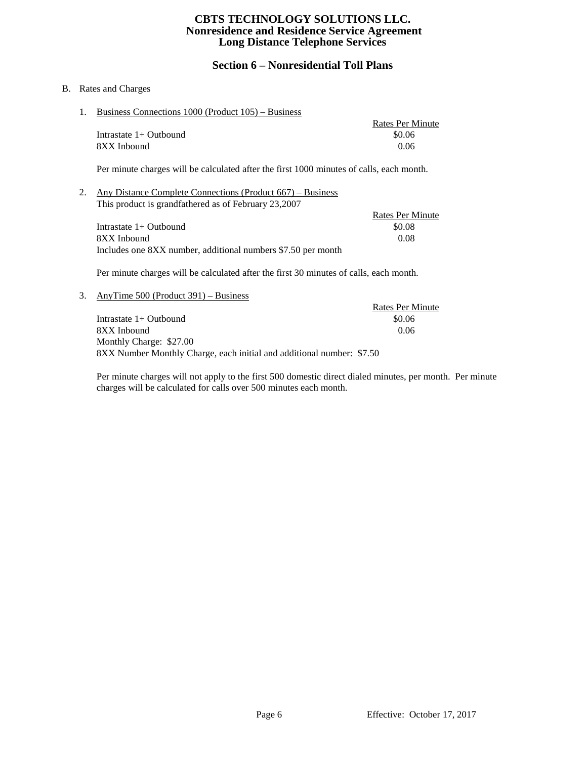# **Section 6 – Nonresidential Toll Plans**

## B. Rates and Charges

1. Business Connections 1000 (Product 105) – Business

|                          | Rates Per Minute |
|--------------------------|------------------|
| Intrastate $1+$ Outbound | \$0.06           |
| 8XX Inbound              | 0.06             |

Per minute charges will be calculated after the first 1000 minutes of calls, each month.

2. Any Distance Complete Connections (Product 667) – Business This product is grandfathered as of February 23,2007

|                                                              | Rates Per Minute |
|--------------------------------------------------------------|------------------|
| Intrastate $1+$ Outbound                                     | \$0.08           |
| 8XX Inbound                                                  | 0.08             |
| Includes one 8XX number, additional numbers \$7.50 per month |                  |

Per minute charges will be calculated after the first 30 minutes of calls, each month.

3. AnyTime 500 (Product 391) – Business Rates Per Minute Intrastate 1+ Outbound \$0.06 8XX Inbound 0.06 Monthly Charge: \$27.00 8XX Number Monthly Charge, each initial and additional number: \$7.50

Per minute charges will not apply to the first 500 domestic direct dialed minutes, per month. Per minute charges will be calculated for calls over 500 minutes each month.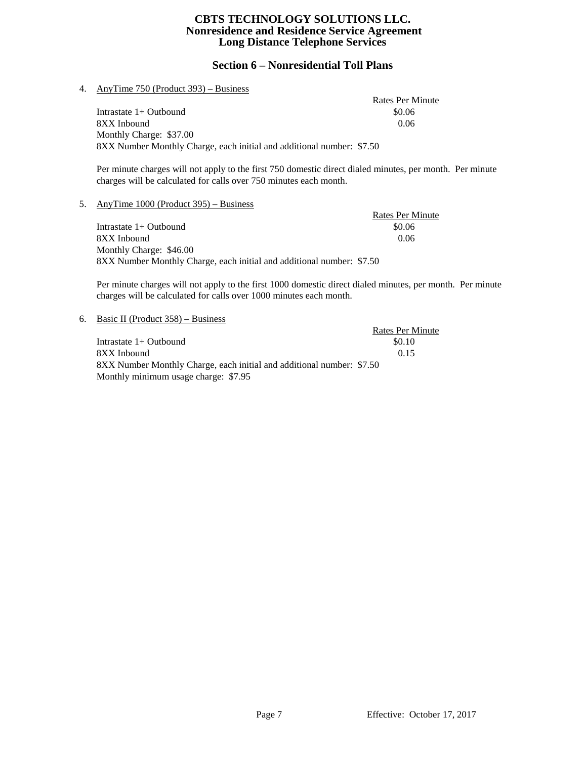# **Section 6 – Nonresidential Toll Plans**

## 4. AnyTime 750 (Product 393) – Business

Rates Per Minute Intrastate 1+ Outbound \$0.06 8XX Inbound 0.06 Monthly Charge: \$37.00 8XX Number Monthly Charge, each initial and additional number: \$7.50

Per minute charges will not apply to the first 750 domestic direct dialed minutes, per month. Per minute charges will be calculated for calls over 750 minutes each month.

## 5. AnyTime 1000 (Product 395) – Business

Rates Per Minute<br>\$0.06 Intrastate  $1+$  Outbound 8XX Inbound 0.06 Monthly Charge: \$46.00 8XX Number Monthly Charge, each initial and additional number: \$7.50

Per minute charges will not apply to the first 1000 domestic direct dialed minutes, per month. Per minute charges will be calculated for calls over 1000 minutes each month.

#### 6. Basic II (Product 358) – Business

|                                                                       | <b>Rates Per Minute</b> |
|-----------------------------------------------------------------------|-------------------------|
| Intrastate $1+$ Outbound                                              | \$0.10                  |
| 8XX Inbound                                                           | 0.15                    |
| 8XX Number Monthly Charge, each initial and additional number: \$7.50 |                         |
| Monthly minimum usage charge: \$7.95                                  |                         |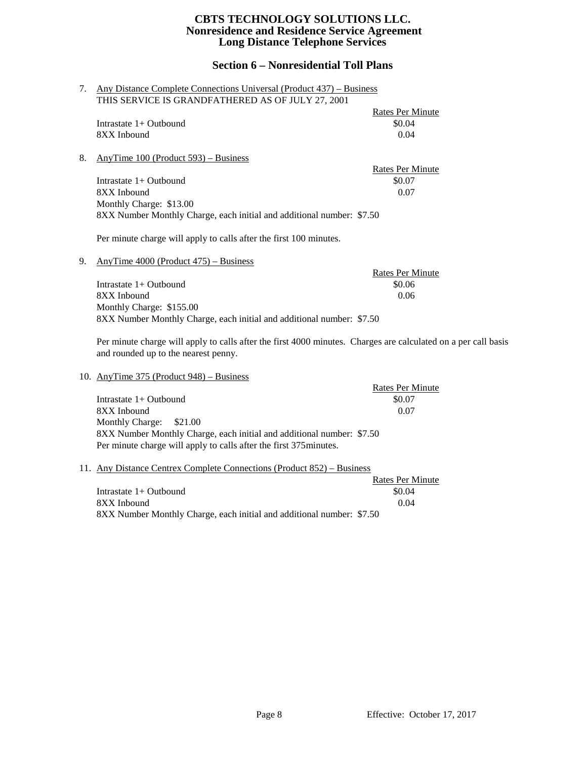# **Section 6 – Nonresidential Toll Plans**

| 7. | Any Distance Complete Connections Universal (Product 437) – Business                            |                         |  |
|----|-------------------------------------------------------------------------------------------------|-------------------------|--|
|    | THIS SERVICE IS GRANDFATHERED AS OF JULY 27, 2001                                               |                         |  |
|    |                                                                                                 | <b>Rates Per Minute</b> |  |
|    | Intrastate $1+$ Outbound                                                                        | \$0.04                  |  |
|    | 8XX Inbound                                                                                     | 0.04                    |  |
| 8. | AnyTime $100$ (Product 593) – Business                                                          |                         |  |
|    |                                                                                                 | Rates Per Minute        |  |
|    | Intrastate 1+ Outbound                                                                          | \$0.07                  |  |
|    | 8XX Inbound                                                                                     | 0.07                    |  |
|    | Monthly Charge: \$13.00                                                                         |                         |  |
|    | 8XX Number Monthly Charge, each initial and additional number: \$7.50                           |                         |  |
|    | Per minute charge will apply to calls after the first 100 minutes.                              |                         |  |
| 9. | AnyTime $4000$ (Product $475$ ) – Business                                                      |                         |  |
|    |                                                                                                 | <b>Rates Per Minute</b> |  |
|    | Intrastate $1+$ Outbound                                                                        | \$0.06                  |  |
|    | 8XX Inbound                                                                                     | 0.06                    |  |
|    | Monthly Charge: \$155.00                                                                        |                         |  |
|    | 8XX Number Monthly Charge, each initial and additional number: \$7.50                           |                         |  |
|    | Den minute steame mill angleste polle often the final 4000 minutes . Channes and polaritated an |                         |  |

Per minute charge will apply to calls after the first 4000 minutes. Charges are calculated on a per call basis and rounded up to the nearest penny.

10. AnyTime 375 (Product 948) – Business

|                                                                       | <b>Rates Per Minute</b> |
|-----------------------------------------------------------------------|-------------------------|
| Intrastate $1+$ Outbound                                              | \$0.07                  |
| 8XX Inbound                                                           | 0.07                    |
| Monthly Charge: \$21.00                                               |                         |
| 8XX Number Monthly Charge, each initial and additional number: \$7.50 |                         |
| Per minute charge will apply to calls after the first 375 minutes.    |                         |

## 11. Any Distance Centrex Complete Connections (Product 852) – Business

|                                                                       | Rates Per Minute |
|-----------------------------------------------------------------------|------------------|
| Intrastate $1+$ Outbound                                              | \$0.04           |
| 8XX Inbound                                                           | 0.04             |
| 8XX Number Monthly Charge, each initial and additional number: \$7.50 |                  |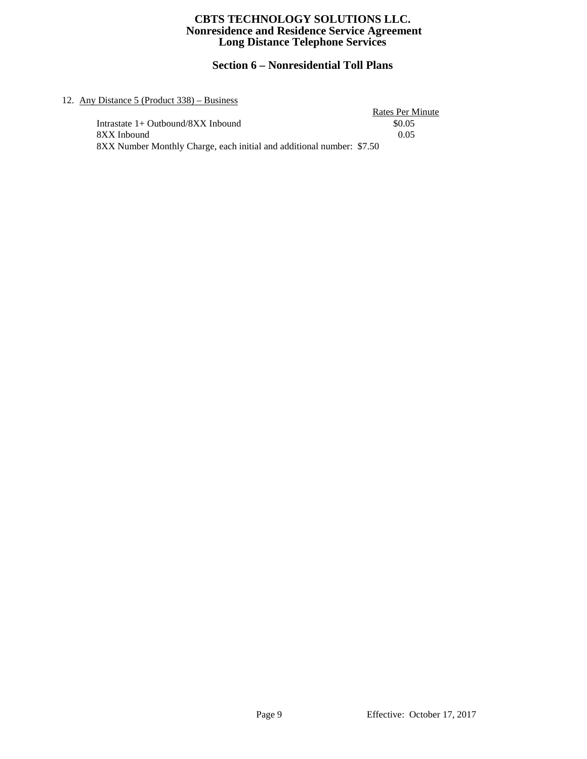# **Section 6 – Nonresidential Toll Plans**

## 12. Any Distance 5 (Product 338) – Business

| Distance $5$ (Product $338$ ) – Business                              |                  |
|-----------------------------------------------------------------------|------------------|
|                                                                       | Rates Per Minute |
| Intrastate 1+ Outbound/8XX Inbound                                    | \$0.05           |
| 8XX Inbound                                                           | 0.05             |
| 8XX Number Monthly Charge, each initial and additional number: \$7.50 |                  |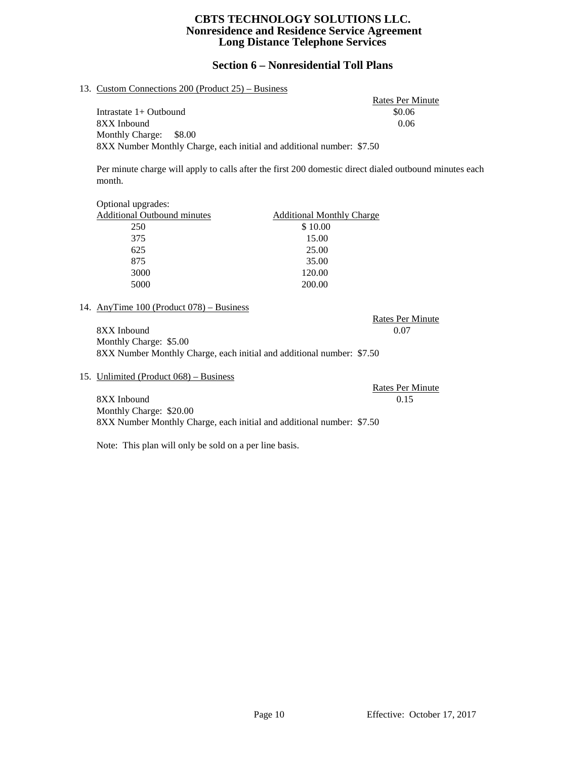# **Section 6 – Nonresidential Toll Plans**

## 13. Custom Connections 200 (Product 25) – Business

Rates Per Minute Intrastate 1+ Outbound \$0.06 8XX Inbound 0.06 Monthly Charge: \$8.00 8XX Number Monthly Charge, each initial and additional number: \$7.50

Per minute charge will apply to calls after the first 200 domestic direct dialed outbound minutes each month.

| Optional upgrades:                 |                                  |
|------------------------------------|----------------------------------|
| <b>Additional Outbound minutes</b> | <b>Additional Monthly Charge</b> |
| 250                                | \$10.00                          |
| 375                                | 15.00                            |
| 625                                | 25.00                            |
| 875                                | 35.00                            |
| 3000                               | 120.00                           |
| 5000                               | 200.00                           |

## 14. AnyTime 100 (Product 078) – Business

8XX Inbound 0.07 Monthly Charge: \$5.00 8XX Number Monthly Charge, each initial and additional number: \$7.50

15. Unlimited (Product 068) – Business

Rates Per Minute 8XX Inbound 0.15 Monthly Charge: \$20.00 8XX Number Monthly Charge, each initial and additional number: \$7.50

Note: This plan will only be sold on a per line basis.

Rates Per Minute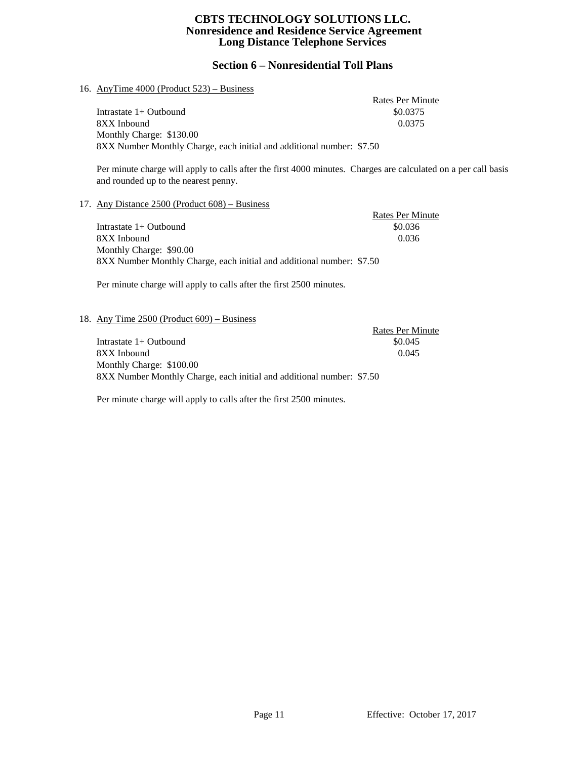# **Section 6 – Nonresidential Toll Plans**

## 16. AnyTime 4000 (Product 523) – Business

Rates Per Minute Intrastate 1+ Outbound \$0.0375 8XX Inbound 0.0375 Monthly Charge: \$130.00 8XX Number Monthly Charge, each initial and additional number: \$7.50

Per minute charge will apply to calls after the first 4000 minutes. Charges are calculated on a per call basis and rounded up to the nearest penny.

#### 17. Any Distance 2500 (Product 608) – Business

|                                                                       | <b>Rates Per Minute</b> |
|-----------------------------------------------------------------------|-------------------------|
| Intrastate $1+$ Outbound                                              | \$0.036                 |
| 8XX Inbound                                                           | 0.036                   |
| Monthly Charge: \$90.00                                               |                         |
| 8XX Number Monthly Charge, each initial and additional number: \$7.50 |                         |

Per minute charge will apply to calls after the first 2500 minutes.

#### 18. Any Time 2500 (Product 609) – Business

|                                                                       | Rates Per Minute |
|-----------------------------------------------------------------------|------------------|
| Intrastate $1+$ Outbound                                              | \$0.045          |
| 8XX Inbound                                                           | 0.045            |
| Monthly Charge: \$100.00                                              |                  |
| 8XX Number Monthly Charge, each initial and additional number: \$7.50 |                  |

Per minute charge will apply to calls after the first 2500 minutes.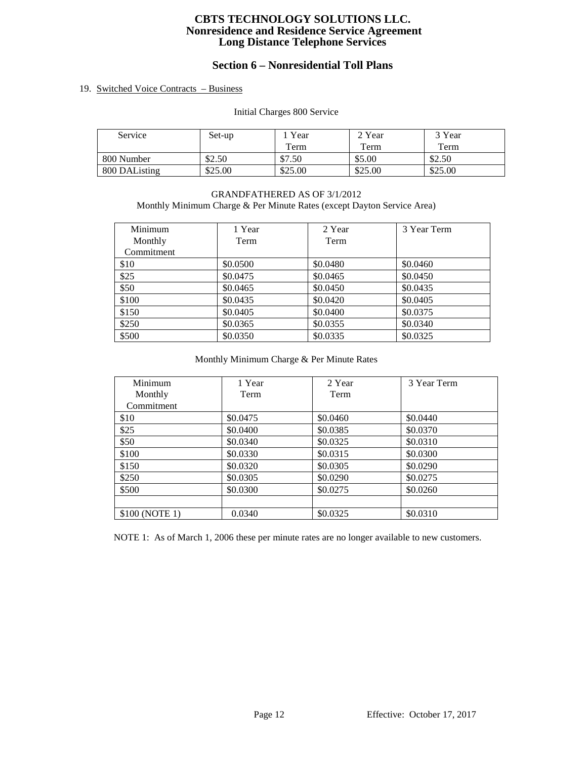# **Section 6 – Nonresidential Toll Plans**

## 19. Switched Voice Contracts – Business

Initial Charges 800 Service

| Service       | Set-up  | Year    | 2 Year  | 3 Year  |
|---------------|---------|---------|---------|---------|
|               |         | Term    | Term    | Term    |
| 800 Number    | \$2.50  | \$7.50  | \$5.00  | \$2.50  |
| 800 DAListing | \$25.00 | \$25.00 | \$25.00 | \$25.00 |

## GRANDFATHERED AS OF 3/1/2012 Monthly Minimum Charge & Per Minute Rates (except Dayton Service Area)

| Minimum    | 1 Year   | 2 Year   | 3 Year Term |
|------------|----------|----------|-------------|
| Monthly    | Term     | Term     |             |
| Commitment |          |          |             |
| \$10       | \$0.0500 | \$0.0480 | \$0.0460    |
| \$25       | \$0.0475 | \$0.0465 | \$0.0450    |
| \$50       | \$0.0465 | \$0.0450 | \$0.0435    |
| \$100      | \$0.0435 | \$0.0420 | \$0.0405    |
| \$150      | \$0.0405 | \$0.0400 | \$0.0375    |
| \$250      | \$0.0365 | \$0.0355 | \$0.0340    |
| \$500      | \$0.0350 | \$0.0335 | \$0.0325    |

## Monthly Minimum Charge & Per Minute Rates

| Minimum        | 1 Year   | 2 Year   | 3 Year Term |
|----------------|----------|----------|-------------|
| Monthly        | Term     | Term     |             |
| Commitment     |          |          |             |
| \$10           | \$0.0475 | \$0.0460 | \$0.0440    |
| \$25           | \$0.0400 | \$0.0385 | \$0.0370    |
| \$50           | \$0.0340 | \$0.0325 | \$0.0310    |
| \$100          | \$0.0330 | \$0.0315 | \$0.0300    |
| \$150          | \$0.0320 | \$0.0305 | \$0.0290    |
| \$250          | \$0.0305 | \$0.0290 | \$0.0275    |
| \$500          | \$0.0300 | \$0.0275 | \$0.0260    |
|                |          |          |             |
| \$100 (NOTE 1) | 0.0340   | \$0.0325 | \$0.0310    |

NOTE 1: As of March 1, 2006 these per minute rates are no longer available to new customers.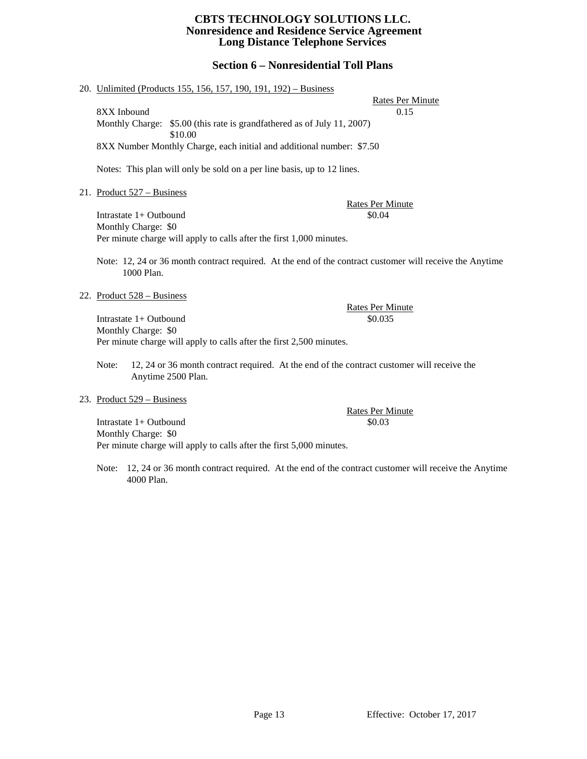## **Section 6 – Nonresidential Toll Plans**

#### 20. Unlimited (Products 155, 156, 157, 190, 191, 192) – Business

Rates Per Minute 8XX Inbound 0.15 Monthly Charge: \$5.00 (this rate is grandfathered as of July 11, 2007) \$10.00 8XX Number Monthly Charge, each initial and additional number: \$7.50

Notes: This plan will only be sold on a per line basis, up to 12 lines.

21. Product 527 – Business

Rates Per Minute Intrastate 1+ Outbound \$0.04 Monthly Charge: \$0 Per minute charge will apply to calls after the first 1,000 minutes.

Note: 12, 24 or 36 month contract required. At the end of the contract customer will receive the Anytime 1000 Plan.

22. Product 528 – Business

Intrastate 1+ Outbound \$0.035 Monthly Charge: \$0 Per minute charge will apply to calls after the first 2,500 minutes.

Note: 12, 24 or 36 month contract required. At the end of the contract customer will receive the Anytime 2500 Plan.

#### 23. Product 529 – Business

Intrastate 1+ Outbound \$0.03 Monthly Charge: \$0 Per minute charge will apply to calls after the first 5,000 minutes.

Note: 12, 24 or 36 month contract required. At the end of the contract customer will receive the Anytime 4000 Plan.

Rates Per Minute

Rates Per Minute